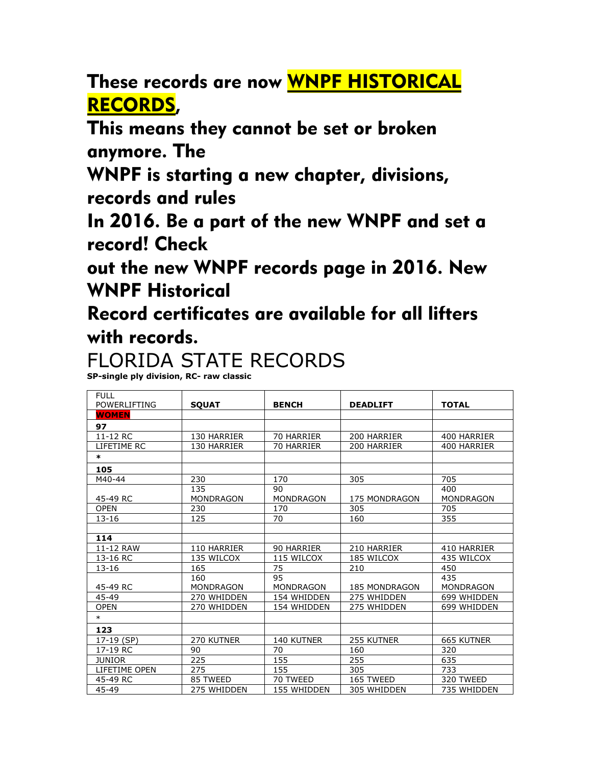These records are now WNPF HISTORICAL RECORDS,

This means they cannot be set or broken anymore. The

WNPF is starting a new chapter, divisions, records and rules

In 2016. Be a part of the new WNPF and set a record! Check

out the new WNPF records page in 2016. New WNPF Historical

Record certificates are available for all lifters with records.

## FLORIDA STATE RECORDS

**SP-single ply division, RC- raw classic**

| <b>FULL</b><br><b>POWERLIFTING</b> | <b>SQUAT</b>     | <b>BENCH</b>     | <b>DEADLIFT</b>      | <b>TOTAL</b>      |
|------------------------------------|------------------|------------------|----------------------|-------------------|
| <b>WOMEN</b>                       |                  |                  |                      |                   |
| 97                                 |                  |                  |                      |                   |
| 11-12 RC                           | 130 HARRIER      | 70 HARRIER       | 200 HARRIER          | 400 HARRIER       |
| LIFETIME RC                        | 130 HARRIER      | 70 HARRIER       | 200 HARRIER          | 400 HARRIER       |
| $\ast$                             |                  |                  |                      |                   |
| 105                                |                  |                  |                      |                   |
| M40-44                             | 230              | 170              | 305                  | 705               |
|                                    | 135              | 90               |                      | 400               |
| 45-49 RC                           | <b>MONDRAGON</b> | <b>MONDRAGON</b> | <b>175 MONDRAGON</b> | <b>MONDRAGON</b>  |
| <b>OPEN</b>                        | 230              | 170              | 305                  | 705               |
| $13 - 16$                          | 125              | 70               | 160                  | 355               |
|                                    |                  |                  |                      |                   |
| 114                                |                  |                  |                      |                   |
| 11-12 RAW                          | 110 HARRIER      | 90 HARRIER       | 210 HARRIER          | 410 HARRIER       |
| 13-16 RC                           | 135 WILCOX       | 115 WILCOX       | 185 WILCOX           | 435 WILCOX        |
| $13 - 16$                          | 165              | 75               | 210                  | 450               |
|                                    | 160              | 95               |                      | 435               |
| 45-49 RC                           | <b>MONDRAGON</b> | <b>MONDRAGON</b> | <b>185 MONDRAGON</b> | <b>MONDRAGON</b>  |
| 45-49                              | 270 WHIDDEN      | 154 WHIDDEN      | 275 WHIDDEN          | 699 WHIDDEN       |
| <b>OPEN</b>                        | 270 WHIDDEN      | 154 WHIDDEN      | 275 WHIDDEN          | 699 WHIDDEN       |
| $\ast$                             |                  |                  |                      |                   |
| 123                                |                  |                  |                      |                   |
| 17-19 (SP)                         | 270 KUTNER       | 140 KUTNER       | 255 KUTNER           | <b>665 KUTNER</b> |
| 17-19 RC                           | 90               | 70               | 160                  | 320               |
| <b>JUNIOR</b>                      | 225              | 155              | 255                  | 635               |
| LIFETIME OPEN                      | 275              | 155              | 305                  | 733               |
| 45-49 RC                           | 85 TWEED         | 70 TWEED         | 165 TWEED            | 320 TWEED         |
| 45-49                              | 275 WHIDDEN      | 155 WHIDDEN      | 305 WHIDDEN          | 735 WHIDDEN       |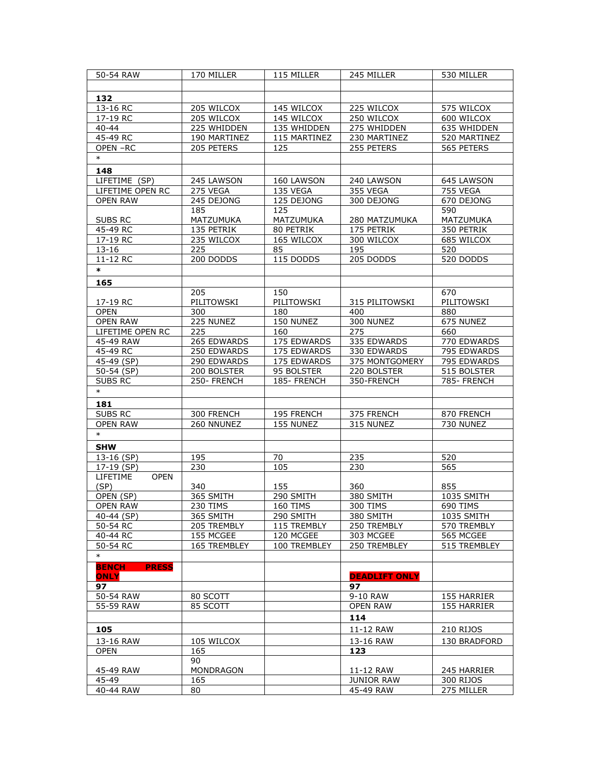| 50-54 RAW                      | 170 MILLER            | 115 MILLER   | 245 MILLER            | 530 MILLER             |
|--------------------------------|-----------------------|--------------|-----------------------|------------------------|
|                                |                       |              |                       |                        |
| 132                            |                       |              |                       |                        |
| 13-16 RC                       | 205 WILCOX            | 145 WILCOX   | 225 WILCOX            | 575 WILCOX             |
| 17-19 RC                       | 205 WILCOX            | 145 WILCOX   | 250 WILCOX            | 600 WILCOX             |
| $40 - 44$                      | 225 WHIDDEN           | 135 WHIDDEN  | 275 WHIDDEN           | 635 WHIDDEN            |
| 45-49 RC                       | 190 MARTINEZ          | 115 MARTINEZ | 230 MARTINEZ          | 520 MARTINEZ           |
| OPEN-RC                        | 205 PETERS            | 125          | 255 PETERS            | 565 PETERS             |
| $\ast$                         |                       |              |                       |                        |
|                                |                       |              |                       |                        |
| 148                            |                       |              |                       |                        |
| LIFETIME (SP)                  | 245 LAWSON            | 160 LAWSON   | 240 LAWSON            | 645 LAWSON             |
| LIFETIME OPEN RC               | 275 VEGA              | 135 VEGA     | 355 VEGA              | <b>755 VEGA</b>        |
| <b>OPEN RAW</b>                | 245 DEJONG            | 125 DEJONG   | 300 DEJONG            | 670 DEJONG             |
|                                | 185                   | 125          |                       | 590                    |
| SUBS RC                        | MATZUMUKA             | MATZUMUKA    | 280 MATZUMUKA         | MATZUMUKA              |
| 45-49 RC                       | 135 PETRIK            | 80 PETRIK    | 175 PETRIK            | 350 PETRIK             |
| 17-19 RC                       | 235 WILCOX            | 165 WILCOX   | 300 WILCOX            | 685 WILCOX             |
| $13 - 16$                      | 225                   | 85           | 195                   | 520                    |
| 11-12 RC                       | 200 DODDS             | 115 DODDS    | 205 DODDS             | 520 DODDS              |
| $\ast$                         |                       |              |                       |                        |
| 165                            |                       |              |                       |                        |
|                                | 205                   | 150          |                       | 670                    |
| 17-19 RC                       | PILITOWSKI            | PILITOWSKI   | 315 PILITOWSKI        | PILITOWSKI             |
| <b>OPEN</b>                    | 300                   | 180          | 400                   | 880                    |
| <b>OPEN RAW</b>                | 225 NUNEZ             | 150 NUNEZ    | 300 NUNEZ             | 675 NUNEZ              |
|                                | 225                   |              | 275                   |                        |
| LIFETIME OPEN RC               |                       | 160          |                       | 660                    |
| 45-49 RAW                      | 265 EDWARDS           | 175 EDWARDS  | 335 EDWARDS           | 770 EDWARDS            |
| 45-49 RC                       | 250 EDWARDS           | 175 EDWARDS  | 330 EDWARDS           | 795 EDWARDS            |
| 45-49 (SP)                     | 290 EDWARDS           | 175 EDWARDS  | 375 MONTGOMERY        | 795 EDWARDS            |
| 50-54 (SP)                     | 200 BOLSTER           | 95 BOLSTER   | 220 BOLSTER           | 515 BOLSTER            |
| <b>SUBS RC</b>                 | 250- FRENCH           | 185- FRENCH  | 350-FRENCH            | 785- FRENCH            |
| $\ast$                         |                       |              |                       |                        |
| 181                            |                       |              |                       |                        |
| SUBS RC                        | 300 FRENCH            | 195 FRENCH   | 375 FRENCH            | 870 FRENCH             |
| <b>OPEN RAW</b>                | 260 NNUNEZ            | 155 NUNEZ    | 315 NUNEZ             | 730 NUNEZ              |
| $\ast$                         |                       |              |                       |                        |
| <b>SHW</b>                     |                       |              |                       |                        |
| 13-16 (SP)                     | 195                   | 70           | 235                   | 520                    |
| 17-19 (SP)                     | 230                   | 105          | 230                   | 565                    |
| <b>LIFETIME</b><br><b>OPEN</b> |                       |              |                       |                        |
| (SP)                           | 340                   | 155          | 360                   | 855                    |
| OPEN (SP)                      | 365 SMITH             | 290 SMITH    | 380 SMITH             | <b>1035 SMITH</b>      |
|                                |                       |              |                       |                        |
| OPEN RAW<br>40-44 (SP)         | 230 TIMS<br>365 SMITH | 160 TIMS     | 300 TIMS<br>380 SMITH | 690 TIMS<br>1035 SMITH |
|                                | 205 TREMBLY           | 290 SMITH    |                       | 570 TREMBLY            |
| 50-54 RC                       |                       | 115 TREMBLY  | 250 TREMBLY           |                        |
| 40-44 RC                       | 155 MCGEE             | 120 MCGEE    | 303 MCGEE             | 565 MCGEE              |
| 50-54 RC                       | 165 TREMBLEY          | 100 TREMBLEY | 250 TREMBLEY          | 515 TREMBLEY           |
| $\ast$                         |                       |              |                       |                        |
| <b>PRESS</b><br><b>BENCH</b>   |                       |              |                       |                        |
| <b>ONLY</b>                    |                       |              | <b>DEADLIFT ONLY</b>  |                        |
| 97                             |                       |              | 97                    |                        |
| 50-54 RAW                      | 80 SCOTT              |              | 9-10 RAW              | 155 HARRIER            |
| 55-59 RAW                      | 85 SCOTT              |              | <b>OPEN RAW</b>       | 155 HARRIER            |
|                                |                       |              | 114                   |                        |
| 105                            |                       |              | 11-12 RAW             | 210 RIJOS              |
| 13-16 RAW                      | 105 WILCOX            |              | 13-16 RAW             | 130 BRADFORD           |
| <b>OPEN</b>                    | 165                   |              | 123                   |                        |
|                                | 90                    |              |                       |                        |
| 45-49 RAW                      | MONDRAGON             |              | 11-12 RAW             |                        |
| 45-49                          |                       |              |                       | 245 HARRIER            |
|                                | 165                   |              | <b>JUNIOR RAW</b>     | 300 RIJOS              |
| 40-44 RAW                      | 80                    |              | 45-49 RAW             | 275 MILLER             |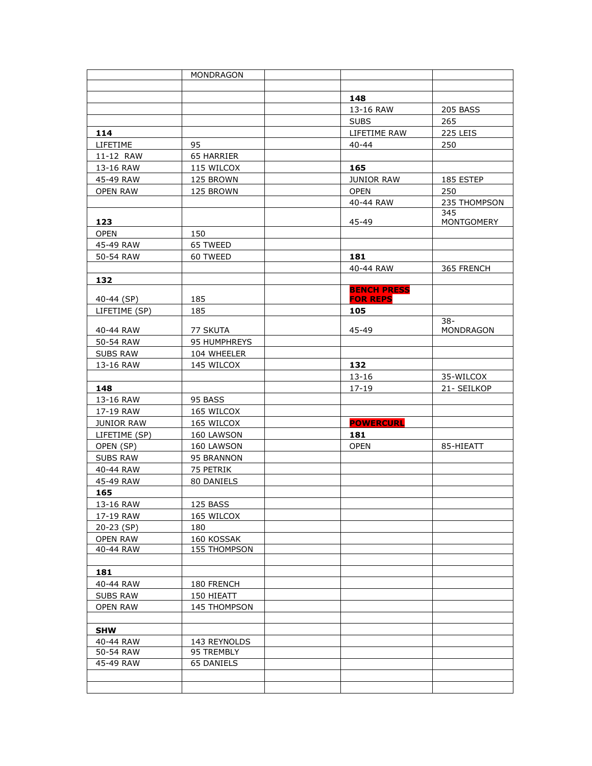|                 | <b>MONDRAGON</b> |                    |                  |
|-----------------|------------------|--------------------|------------------|
|                 |                  |                    |                  |
|                 |                  | 148                |                  |
|                 |                  | 13-16 RAW          | <b>205 BASS</b>  |
|                 |                  | <b>SUBS</b>        | 265              |
| 114             |                  | LIFETIME RAW       | 225 LEIS         |
| LIFETIME        | 95               | $40 - 44$          | 250              |
| 11-12 RAW       | 65 HARRIER       |                    |                  |
| 13-16 RAW       | 115 WILCOX       | 165                |                  |
| 45-49 RAW       | 125 BROWN        | <b>JUNIOR RAW</b>  | 185 ESTEP        |
| <b>OPEN RAW</b> | 125 BROWN        | <b>OPEN</b>        | 250              |
|                 |                  | 40-44 RAW          | 235 THOMPSON     |
|                 |                  |                    | 345              |
| 123             |                  | 45-49              | MONTGOMERY       |
| <b>OPEN</b>     | 150              |                    |                  |
| 45-49 RAW       | 65 TWEED         |                    |                  |
| 50-54 RAW       | 60 TWEED         | 181                |                  |
|                 |                  | 40-44 RAW          | 365 FRENCH       |
| 132             |                  | <b>BENCH PRESS</b> |                  |
| 40-44 (SP)      | 185              | <b>FOR REPS</b>    |                  |
| LIFETIME (SP)   | 185              | 105                |                  |
|                 |                  |                    | $38-$            |
| 40-44 RAW       | 77 SKUTA         | 45-49              | <b>MONDRAGON</b> |
| 50-54 RAW       | 95 HUMPHREYS     |                    |                  |
| <b>SUBS RAW</b> | 104 WHEELER      |                    |                  |
| 13-16 RAW       | 145 WILCOX       | 132                |                  |
|                 |                  | 13-16              | 35-WILCOX        |
| 148             |                  | $17 - 19$          | 21- SEILKOP      |
| 13-16 RAW       | 95 BASS          |                    |                  |
| 17-19 RAW       | 165 WILCOX       |                    |                  |
| JUNIOR RAW      | 165 WILCOX       | <b>POWERCURL</b>   |                  |
| LIFETIME (SP)   | 160 LAWSON       | 181                |                  |
| OPEN (SP)       | 160 LAWSON       | <b>OPEN</b>        | 85-HIEATT        |
| <b>SUBS RAW</b> | 95 BRANNON       |                    |                  |
| 40-44 RAW       | 75 PETRIK        |                    |                  |
| 45-49 RAW       | 80 DANIELS       |                    |                  |
| 165             |                  |                    |                  |
| 13-16 RAW       | 125 BASS         |                    |                  |
| 17-19 RAW       | 165 WILCOX       |                    |                  |
| 20-23 (SP)      | 180              |                    |                  |
| <b>OPEN RAW</b> | 160 KOSSAK       |                    |                  |
| 40-44 RAW       | 155 THOMPSON     |                    |                  |
| 181             |                  |                    |                  |
| 40-44 RAW       | 180 FRENCH       |                    |                  |
| <b>SUBS RAW</b> | 150 HIEATT       |                    |                  |
| <b>OPEN RAW</b> | 145 THOMPSON     |                    |                  |
|                 |                  |                    |                  |
| <b>SHW</b>      |                  |                    |                  |
| 40-44 RAW       | 143 REYNOLDS     |                    |                  |
| 50-54 RAW       | 95 TREMBLY       |                    |                  |
| 45-49 RAW       | 65 DANIELS       |                    |                  |
|                 |                  |                    |                  |
|                 |                  |                    |                  |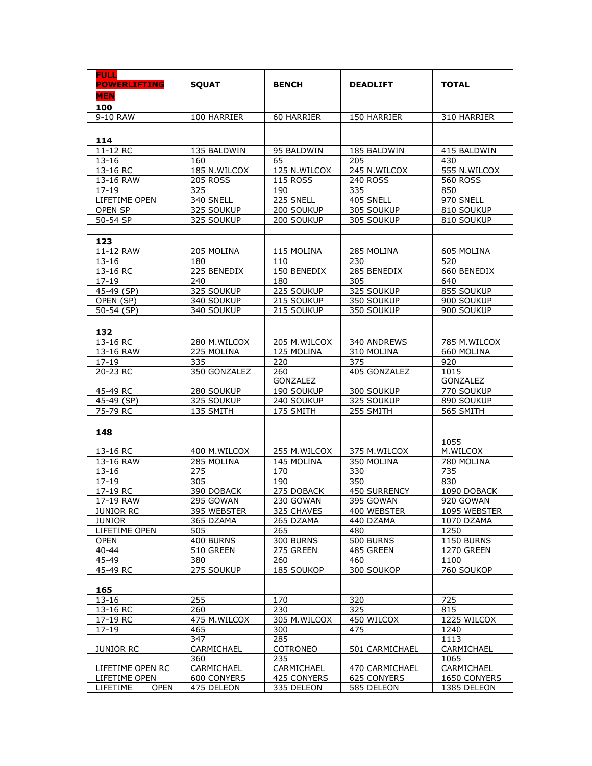| <b>FULL</b><br><b>POWERLIFTING</b> | <b>SOUAT</b>               | <b>BENCH</b>               | <b>DEADLIFT</b>   | <b>TOTAL</b>               |
|------------------------------------|----------------------------|----------------------------|-------------------|----------------------------|
| <b>MEN</b>                         |                            |                            |                   |                            |
| 100                                |                            |                            |                   |                            |
| 9-10 RAW                           | 100 HARRIER                | 60 HARRIER                 | 150 HARRIER       | 310 HARRIER                |
|                                    |                            |                            |                   |                            |
| 114                                |                            |                            |                   |                            |
| 11-12 RC                           | 135 BALDWIN                | 95 BALDWIN                 | 185 BALDWIN       | 415 BALDWIN                |
| $13 - 16$                          | 160                        | 65                         | 205               | 430                        |
| $13-16$ RC                         | 185 N.WILCOX               | 125 N.WILCOX               | 245 N.WILCOX      | 555 N.WILCOX               |
| 13-16 RAW                          | <b>205 ROSS</b>            | <b>115 ROSS</b>            | <b>240 ROSS</b>   | <b>560 ROSS</b>            |
| 17-19                              | 325                        | 190                        | 335               | 850                        |
| LIFETIME OPEN                      | 340 SNELL                  | 225 SNELL                  | 405 SNELL         | 970 SNELL                  |
| OPEN SP                            | 325 SOUKUP                 | 200 SOUKUP                 | 305 SOUKUP        | 810 SOUKUP                 |
| 50-54 SP                           | 325 SOUKUP                 | 200 SOUKUP                 | 305 SOUKUP        | 810 SOUKUP                 |
|                                    |                            |                            |                   |                            |
| 123                                |                            |                            |                   |                            |
| 11-12 RAW                          | 205 MOLINA                 | 115 MOLINA                 | 285 MOLINA        | 605 MOLINA                 |
| $13 - 16$                          | 180                        | 110                        | 230               | 520                        |
| 13-16 RC                           | 225 BENEDIX                | 150 BENEDIX                | 285 BENEDIX       | 660 BENEDIX                |
| $17 - 19$                          | 240                        | 180                        | 305               | 640                        |
| $45 - 49$ (SP)                     | 325 SOUKUP                 | 225 SOUKUP                 | 325 SOUKUP        | 855 SOUKUP                 |
| OPEN (SP)                          | 340 SOUKUP                 | 215 SOUKUP                 | 350 SOUKUP        | 900 SOUKUP                 |
| 50-54 (SP)                         | 340 SOUKUP                 | 215 SOUKUP                 | 350 SOUKUP        | 900 SOUKUP                 |
|                                    |                            |                            |                   |                            |
| 132                                |                            |                            |                   |                            |
| 13-16 RC<br>13-16 RAW              | 280 M.WILCOX<br>225 MOLINA | 205 M.WILCOX<br>125 MOLINA | 340 ANDREWS       | 785 M.WILCOX<br>660 MOLINA |
|                                    | 335                        | 220                        | 310 MOLINA<br>375 | 920                        |
| 17-19<br>20-23 RC                  | 350 GONZALEZ               | 260                        | 405 GONZALEZ      | 1015                       |
|                                    |                            | GONZALEZ                   |                   | GONZALEZ                   |
| 45-49 RC                           | 280 SOUKUP                 | 190 SOUKUP                 | 300 SOUKUP        | 770 SOUKUP                 |
| 45-49 (SP)                         | 325 SOUKUP                 | 240 SOUKUP                 | 325 SOUKUP        | 890 SOUKUP                 |
| 75-79 RC                           | 135 SMITH                  | 175 SMITH                  | 255 SMITH         | 565 SMITH                  |
|                                    |                            |                            |                   |                            |
| 148                                |                            |                            |                   |                            |
|                                    |                            |                            |                   | 1055                       |
| 13-16 RC                           | 400 M.WILCOX               | 255 M.WILCOX               | 375 M.WILCOX      | M.WILCOX                   |
| 13-16 RAW                          | 285 MOLINA                 | 145 MOLINA                 | 350 MOLINA        | 780 MOLINA                 |
| 13-16                              | 275                        | 170                        | 330               | 735                        |
| 17-19                              | 305                        | 190                        | 350               | 830                        |
| 17-19 RC                           | 390 DOBACK                 | 275 DOBACK                 | 450 SURRENCY      | 1090 DOBACK                |
| 17-19 RAW                          | 295 GOWAN                  | 230 GOWAN                  | 395 GOWAN         | 920 GOWAN                  |
| <b>JUNIOR RC</b>                   | 395 WEBSTER                | 325 CHAVES                 | 400 WEBSTER       | 1095 WEBSTER               |
| <b>JUNIOR</b><br>LIFETIME OPEN     | 365 DZAMA                  | 265 DZAMA                  | 440 DZAMA         | 1070 DZAMA                 |
| <b>OPEN</b>                        | 505<br>400 BURNS           | 265<br>300 BURNS           | 480<br>500 BURNS  | 1250<br><b>1150 BURNS</b>  |
| $40 - 44$                          | 510 GREEN                  | 275 GREEN                  | 485 GREEN         | <b>1270 GREEN</b>          |
| 45-49                              | 380                        | 260                        | 460               | 1100                       |
| 45-49 RC                           | 275 SOUKUP                 | 185 SOUKOP                 | 300 SOUKOP        | 760 SOUKOP                 |
|                                    |                            |                            |                   |                            |
| 165                                |                            |                            |                   |                            |
| $13 - 16$                          | 255                        | 170                        | 320               | 725                        |
| 13-16 RC                           | 260                        | 230                        | 325               | 815                        |
| 17-19 RC                           | 475 M.WILCOX               | 305 M.WILCOX               | 450 WILCOX        | 1225 WILCOX                |
| $17 - 19$                          | 465                        | 300                        | 475               | 1240                       |
|                                    | 347                        | 285                        |                   | 1113                       |
| <b>JUNIOR RC</b>                   | CARMICHAEL                 | COTRONEO                   | 501 CARMICHAEL    | CARMICHAEL                 |
|                                    | 360                        | 235                        |                   | 1065                       |
| LIFETIME OPEN RC                   | CARMICHAEL                 | CARMICHAEL                 | 470 CARMICHAEL    | CARMICHAEL                 |
| LIFETIME OPEN                      | 600 CONYERS                | 425 CONYERS                | 625 CONYERS       | 1650 CONYERS               |
| LIFETIME<br><b>OPEN</b>            | 475 DELEON                 | 335 DELEON                 | 585 DELEON        | 1385 DELEON                |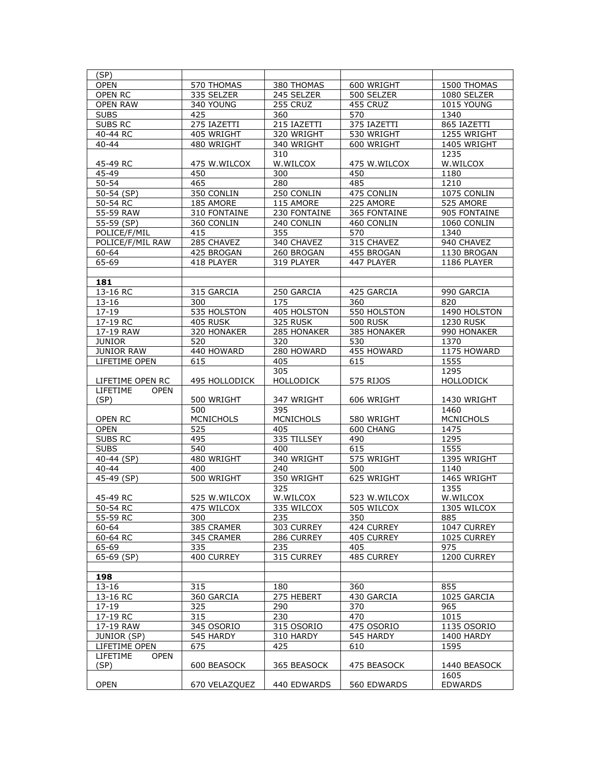| (SP)                    |                  |                  |                 |                  |
|-------------------------|------------------|------------------|-----------------|------------------|
|                         |                  |                  |                 |                  |
| <b>OPEN</b>             | 570 THOMAS       | 380 THOMAS       | 600 WRIGHT      | 1500 THOMAS      |
| <b>OPEN RC</b>          | 335 SELZER       | 245 SELZER       | 500 SELZER      | 1080 SELZER      |
| <b>OPEN RAW</b>         | 340 YOUNG        | 255 CRUZ         | 455 CRUZ        | 1015 YOUNG       |
| <b>SUBS</b>             | 425              | 360              | 570             | 1340             |
| <b>SUBS RC</b>          | 275 IAZETTI      | 215 IAZETTI      | 375 IAZETTI     | 865 IAZETTI      |
|                         |                  |                  |                 |                  |
| 40-44 RC                | 405 WRIGHT       | 320 WRIGHT       | 530 WRIGHT      | 1255 WRIGHT      |
| $40 - 44$               | 480 WRIGHT       | 340 WRIGHT       | 600 WRIGHT      | 1405 WRIGHT      |
|                         |                  | 310              |                 | 1235             |
| 45-49 RC                | 475 W.WILCOX     | W.WILCOX         | 475 W.WILCOX    | W.WILCOX         |
| 45-49                   | 450              | 300              | 450             | 1180             |
| $50 - 54$               | 465              | 280              | 485             | 1210             |
|                         |                  |                  |                 |                  |
| 50-54 (SP)              | 350 CONLIN       | 250 CONLIN       | 475 CONLIN      | 1075 CONLIN      |
| 50-54 RC                | 185 AMORE        | 115 AMORE        | 225 AMORE       | 525 AMORE        |
| 55-59 RAW               | 310 FONTAINE     | 230 FONTAINE     | 365 FONTAINE    | 905 FONTAINE     |
| 55-59 (SP)              | 360 CONLIN       | 240 CONLIN       | 460 CONLIN      | 1060 CONLIN      |
| POLICE/F/MIL            | 415              | 355              | 570             | 1340             |
| POLICE/F/MIL RAW        | 285 CHAVEZ       | 340 CHAVEZ       | 315 CHAVEZ      | 940 CHAVEZ       |
|                         |                  |                  |                 |                  |
| 60-64                   | 425 BROGAN       | 260 BROGAN       | 455 BROGAN      | 1130 BROGAN      |
| 65-69                   | 418 PLAYER       | 319 PLAYER       | 447 PLAYER      | 1186 PLAYER      |
|                         |                  |                  |                 |                  |
| 181                     |                  |                  |                 |                  |
| 13-16 RC                | 315 GARCIA       | 250 GARCIA       | 425 GARCIA      | 990 GARCIA       |
| 13-16                   | 300              | 175              | 360             | 820              |
|                         |                  |                  |                 |                  |
| $17 - 19$               | 535 HOLSTON      | 405 HOLSTON      | 550 HOLSTON     | 1490 HOLSTON     |
| 17-19 RC                | 405 RUSK         | 325 RUSK         | <b>500 RUSK</b> | <b>1230 RUSK</b> |
| 17-19 RAW               | 320 HONAKER      | 285 HONAKER      | 385 HONAKER     | 990 HONAKER      |
| <b>JUNIOR</b>           | 520              | 320              | 530             | 1370             |
| <b>JUNIOR RAW</b>       | 440 HOWARD       | 280 HOWARD       | 455 HOWARD      | 1175 HOWARD      |
| LIFETIME OPEN           | 615              | 405              | 615             | 1555             |
|                         |                  | 305              |                 | 1295             |
|                         |                  |                  |                 |                  |
| LIFETIME OPEN RC        | 495 HOLLODICK    | <b>HOLLODICK</b> | 575 RIJOS       | <b>HOLLODICK</b> |
| LIFETIME<br><b>OPEN</b> |                  |                  |                 |                  |
| (SP)                    | 500 WRIGHT       | 347 WRIGHT       | 606 WRIGHT      | 1430 WRIGHT      |
|                         | 500              | 395              |                 | 1460             |
| OPEN RC                 | <b>MCNICHOLS</b> | <b>MCNICHOLS</b> | 580 WRIGHT      | <b>MCNICHOLS</b> |
| <b>OPEN</b>             | 525              | 405              | 600 CHANG       | 1475             |
| SUBS RC                 | 495              | 335 TILLSEY      | 490             | 1295             |
|                         | 540              |                  | 615             | 1555             |
| <b>SUBS</b>             |                  | 400              |                 |                  |
| 40-44 (SP)              | 480 WRIGHT       | 340 WRIGHT       | 575 WRIGHT      | 1395 WRIGHT      |
| $40 - 44$               | 400              | 240              | 500             | 1140             |
| $45-49$ (SP)            | 500 WRIGHT       | 350 WRIGHT       | 625 WRIGHT      | 1465 WRIGHT      |
|                         |                  | 325              |                 | 1355             |
| 45-49 RC                | 525 W.WILCOX     | W.WILCOX         | 523 W.WILCOX    | W.WILCOX         |
| 50-54 RC                | 475 WILCOX       | 335 WILCOX       | 505 WILCOX      | 1305 WILCOX      |
|                         |                  |                  |                 |                  |
| 55-59 RC                | 300              | 235              | 350             | 885              |
| 60-64                   | 385 CRAMER       | 303 CURREY       | 424 CURREY      | 1047 CURREY      |
| 60-64 RC                | 345 CRAMER       | 286 CURREY       | 405 CURREY      | 1025 CURREY      |
| 65-69                   | 335              | 235              | 405             | 975              |
| 65-69 (SP)              | 400 CURREY       | 315 CURREY       | 485 CURREY      | 1200 CURREY      |
|                         |                  |                  |                 |                  |
|                         |                  |                  |                 |                  |
| 198                     |                  |                  |                 |                  |
| $13 - 16$               | 315              | 180              | 360             | 855              |
| 13-16 RC                | 360 GARCIA       | 275 HEBERT       | 430 GARCIA      | 1025 GARCIA      |
| $17 - 19$               | 325              | 290              | 370             | 965              |
| 17-19 RC                | 315              | 230              | 470             | 1015             |
| 17-19 RAW               | 345 OSORIO       | 315 OSORIO       | 475 OSORIO      | 1135 OSORIO      |
|                         |                  |                  |                 |                  |
| JUNIOR (SP)             | 545 HARDY        | 310 HARDY        | 545 HARDY       | 1400 HARDY       |
| LIFETIME OPEN           | 675              | 425              | 610             | 1595             |
| LIFETIME<br><b>OPEN</b> |                  |                  |                 |                  |
| (SP)                    | 600 BEASOCK      | 365 BEASOCK      | 475 BEASOCK     | 1440 BEASOCK     |
|                         |                  |                  |                 | 1605             |
| <b>OPEN</b>             | 670 VELAZQUEZ    | 440 EDWARDS      | 560 EDWARDS     | <b>EDWARDS</b>   |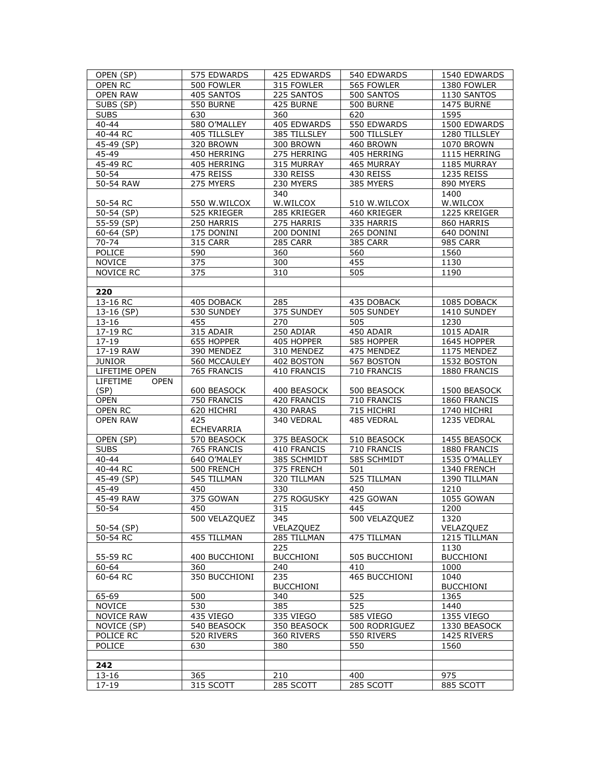| OPEN (SP)               | 575 EDWARDS       | 425 EDWARDS      | 540 EDWARDS      | 1540 EDWARDS      |
|-------------------------|-------------------|------------------|------------------|-------------------|
| OPEN RC                 | 500 FOWLER        | 315 FOWLER       | 565 FOWLER       | 1380 FOWLER       |
| <b>OPEN RAW</b>         | 405 SANTOS        | 225 SANTOS       | 500 SANTOS       | 1130 SANTOS       |
| SUBS (SP)               | 550 BURNE         | 425 BURNE        | 500 BURNE        | <b>1475 BURNE</b> |
| <b>SUBS</b>             | 630               | 360              | 620              | 1595              |
| 40-44                   | 580 O'MALLEY      | 405 EDWARDS      | 550 EDWARDS      | 1500 EDWARDS      |
| 40-44 RC                | 405 TILLSLEY      | 385 TILLSLEY     | 500 TILLSLEY     | 1280 TILLSLEY     |
| 45-49 (SP)              | 320 BROWN         | 300 BROWN        | 460 BROWN        | 1070 BROWN        |
| 45-49                   | 450 HERRING       | 275 HERRING      | 405 HERRING      | 1115 HERRING      |
| 45-49 RC                | 405 HERRING       | 315 MURRAY       | 465 MURRAY       | 1185 MURRAY       |
| $50 - 54$               | 475 REISS         | 330 REISS        | 430 REISS        | 1235 REISS        |
| 50-54 RAW               | 275 MYERS         | 230 MYERS        | 385 MYERS        | 890 MYERS         |
|                         |                   | 340              |                  | 1400              |
| 50-54 RC                | 550 W.WILCOX      | W.WILCOX         | 510 W.WILCOX     | W.WILCOX          |
| 50-54 (SP)              | 525 KRIEGER       | 285 KRIEGER      | 460 KRIEGER      | 1225 KREIGER      |
| 55-59 (SP)              | 250 HARRIS        | 275 HARRIS       | 335 HARRIS       | 860 HARRIS        |
| $60-64$ (SP)            | 175 DONINI        | 200 DONINI       | 265 DONINI       | 640 DONINI        |
| 70-74                   | 315 CARR          | 285 CARR         | 385 CARR         | 985 CARR          |
| POLICE                  | 590               | 360              | 560              | 1560              |
| <b>NOVICE</b>           | 375               | 300              | 455              | 1130              |
| NOVICE RC               | 375               | 310              | 505              | 1190              |
|                         |                   |                  |                  |                   |
| 220                     |                   |                  |                  |                   |
| 13-16 RC                | 405 DOBACK        | 285              | 435 DOBACK       | 1085 DOBACK       |
| 13-16 (SP)              | 530 SUNDEY        | 375 SUNDEY       | 505 SUNDEY       | 1410 SUNDEY       |
| $13 - 16$               | 455               | 270              | 505              | 1230              |
| 17-19 RC                | 315 ADAIR         | 250 ADIAR        | 450 ADAIR        | 1015 ADAIR        |
| $17 - 19$               | 655 HOPPER        | 405 HOPPER       | 585 HOPPER       | 1645 HOPPER       |
| 17-19 RAW               | 390 MENDEZ        | 310 MENDEZ       | 475 MENDEZ       | 1175 MENDEZ       |
| <b>JUNIOR</b>           | 560 MCCAULEY      | 402 BOSTON       | 567 BOSTON       | 1532 BOSTON       |
| LIFETIME OPEN           | 765 FRANCIS       | 410 FRANCIS      | 710 FRANCIS      | 1880 FRANCIS      |
| LIFETIME<br><b>OPEN</b> |                   |                  |                  |                   |
| (SP)                    | 600 BEASOCK       | 400 BEASOCK      | 500 BEASOCK      | 1500 BEASOCK      |
| <b>OPEN</b>             | 750 FRANCIS       | 420 FRANCIS      | 710 FRANCIS      | 1860 FRANCIS      |
| OPEN RC                 | 620 HICHRI        | 430 PARAS        | 715 HICHRI       | 1740 HICHRI       |
| <b>OPEN RAW</b>         | 425               | 340 VEDRAL       | 485 VEDRAL       | 1235 VEDRAL       |
|                         | <b>ECHEVARRIA</b> |                  |                  |                   |
| OPEN (SP)               | 570 BEASOCK       | 375 BEASOCK      | 510 BEASOCK      | 1455 BEASOCK      |
| <b>SUBS</b>             | 765 FRANCIS       | 410 FRANCIS      | 710 FRANCIS      | 1880 FRANCIS      |
| 40-44                   | 640 O'MALEY       | 385 SCHMIDT      | 585 SCHMIDT      | 1535 O'MALLEY     |
| 40-44 RC                | 500 FRENCH        | 375 FRENCH       | 501              | 1340 FRENCH       |
| 45-49 (SP)              | 545 TILLMAN       | 320 TILLMAN      | 525 TILLMAN      | 1390 TILLMAN      |
| 45-49                   | 450               | 330              | 450              | 1210              |
| 45-49 RAW               | 375 GOWAN         | 275 ROGUSKY      | 425 GOWAN        | 1055 GOWAN        |
| $50 - 54$               | 450               | 315              | 445              | 1200              |
|                         | 500 VELAZQUEZ     | 345              | 500 VELAZQUEZ    | 1320              |
| 50-54 (SP)              |                   | VELAZQUEZ        |                  | VELAZQUEZ         |
| 50-54 RC                | 455 TILLMAN       | 285 TILLMAN      | 475 TILLMAN      | 1215 TILLMAN      |
|                         |                   | 225              |                  | 1130              |
| 55-59 RC                | 400 BUCCHIONI     | <b>BUCCHIONI</b> | 505 BUCCHIONI    | <b>BUCCHIONI</b>  |
| 60-64                   | 360               | 240              | 410              | 1000              |
| 60-64 RC                | 350 BUCCHIONI     | 235              | 465 BUCCHIONI    | 1040              |
|                         |                   | <b>BUCCHIONI</b> |                  | <b>BUCCHIONI</b>  |
| 65-69                   | 500               | 340              | 525              | 1365              |
| <b>NOVICE</b>           | 530               | 385              | 525              | 1440              |
| <b>NOVICE RAW</b>       | 435 VIEGO         | 335 VIEGO        | 585 VIEGO        | 1355 VIEGO        |
| NOVICE (SP)             | 540 BEASOCK       | 350 BEASOCK      | 500 RODRIGUEZ    | 1330 BEASOCK      |
| POLICE RC               | 520 RIVERS        | 360 RIVERS       | 550 RIVERS       | 1425 RIVERS       |
| POLICE                  | 630               | 380              | 550              | 1560              |
|                         |                   |                  |                  |                   |
| 242                     |                   |                  |                  |                   |
|                         |                   |                  |                  |                   |
| 13-16                   | 365               | 210              | 400<br>285 SCOTT | 975               |
| 17-19                   | 315 SCOTT         | 285 SCOTT        |                  | 885 SCOTT         |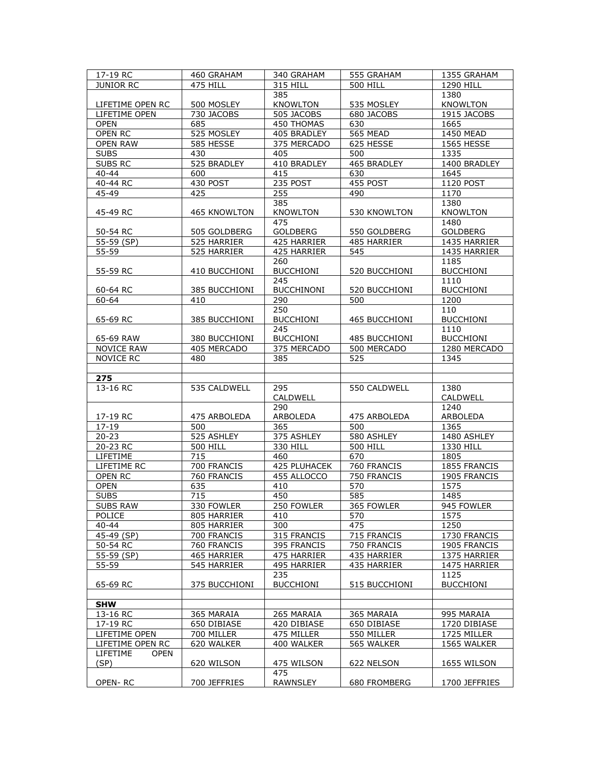| 17-19 RC                | 460 GRAHAM          | 340 GRAHAM        | 555 GRAHAM      | 1355 GRAHAM      |
|-------------------------|---------------------|-------------------|-----------------|------------------|
| <b>JUNIOR RC</b>        | 475 HILL            | 315 HILL          | <b>500 HILL</b> | 1290 HILL        |
|                         |                     | 385               |                 | 1380             |
| LIFETIME OPEN RC        | 500 MOSLEY          | <b>KNOWLTON</b>   | 535 MOSLEY      | <b>KNOWLTON</b>  |
| LIFETIME OPEN           | 730 JACOBS          | 505 JACOBS        | 680 JACOBS      | 1915 JACOBS      |
| <b>OPEN</b>             | 685                 | 450 THOMAS        | 630             | 1665             |
| OPEN RC                 | 525 MOSLEY          | 405 BRADLEY       | 565 MEAD        | 1450 MEAD        |
| <b>OPEN RAW</b>         | 585 HESSE           | 375 MERCADO       | 625 HESSE       | 1565 HESSE       |
| <b>SUBS</b>             | 430                 | 405               | 500             | 1335             |
| <b>SUBS RC</b>          | 525 BRADLEY         | 410 BRADLEY       | 465 BRADLEY     | 1400 BRADLEY     |
| $40 - 44$               | 600                 | 415               | 630             | 1645             |
| 40-44 RC                | 430 POST            | 235 POST          | 455 POST        | 1120 POST        |
| 45-49                   | 425                 | 255               | 490             | 1170             |
|                         |                     | 385               |                 | 1380             |
| 45-49 RC                | <b>465 KNOWLTON</b> | <b>KNOWLTON</b>   | 530 KNOWLTON    | <b>KNOWLTON</b>  |
|                         |                     | 475               |                 | 1480             |
| 50-54 RC                | 505 GOLDBERG        | GOLDBERG          | 550 GOLDBERG    | GOLDBERG         |
| 55-59 (SP)              | 525 HARRIER         | 425 HARRIER       | 485 HARRIER     | 1435 HARRIER     |
| 55-59                   | 525 HARRIER         | 425 HARRIER       | 545             | 1435 HARRIER     |
|                         |                     | 260               |                 | 1185             |
| 55-59 RC                | 410 BUCCHIONI       | <b>BUCCHIONI</b>  | 520 BUCCHIONI   | <b>BUCCHIONI</b> |
|                         |                     | 245               |                 | 1110             |
| 60-64 RC                | 385 BUCCHIONI       | <b>BUCCHINONI</b> | 520 BUCCHIONI   | <b>BUCCHIONI</b> |
| $60 - 64$               | 410                 | 290               | 500             | 1200             |
|                         |                     | 250               |                 | 110              |
| 65-69 RC                | 385 BUCCHIONI       | <b>BUCCHIONI</b>  | 465 BUCCHIONI   | <b>BUCCHIONI</b> |
|                         |                     | 245               |                 | 1110             |
| 65-69 RAW               | 380 BUCCHIONI       | <b>BUCCHIONI</b>  | 485 BUCCHIONI   | <b>BUCCHIONI</b> |
| NOVICE RAW              | 405 MERCADO         | 375 MERCADO       | 500 MERCADO     | 1280 MERCADO     |
| <b>NOVICE RC</b>        | 480                 | 385               | 525             | 1345             |
|                         |                     |                   |                 |                  |
| 275                     |                     |                   |                 |                  |
| 13-16 RC                | 535 CALDWELL        | 295               | 550 CALDWELL    | 1380             |
|                         |                     | CALDWELL          |                 | CALDWELL         |
|                         |                     | 290               |                 | 1240             |
| 17-19 RC                | 475 ARBOLEDA        | ARBOLEDA          | 475 ARBOLEDA    | ARBOLEDA         |
| $17 - 19$               | 500                 | 365               | 500             | 1365             |
| $20 - 23$               | 525 ASHLEY          | 375 ASHLEY        | 580 ASHLEY      | 1480 ASHLEY      |
| 20-23 RC                | <b>500 HILL</b>     | 330 HILL          | <b>500 HILL</b> | 1330 HILL        |
| <b>LIFETIME</b>         | 715<br>700 FRANCIS  | 460               | 670             |                  |
| LIFETIME RC             |                     |                   |                 | 1805             |
|                         |                     | 425 PLUHACEK      | 760 FRANCIS     | 1855 FRANCIS     |
| OPEN RC                 | 760 FRANCIS         | 455 ALLOCCO       | 750 FRANCIS     | 1905 FRANCIS     |
| OPEN                    | 635                 | 410               | 570             | 1575             |
| <b>SUBS</b>             | 715                 | 450               | 585             | 1485             |
| <b>SUBS RAW</b>         | 330 FOWLER          | 250 FOWLER        | 365 FOWLER      | 945 FOWLER       |
| POLICE                  | 805 HARRIER         | 410               | 570             | 1575             |
| $40 - 44$               | 805 HARRIER         | 300               | 475             | 1250             |
| 45-49 (SP)              | 700 FRANCIS         | 315 FRANCIS       | 715 FRANCIS     | 1730 FRANCIS     |
| 50-54 RC                | 760 FRANCIS         | 395 FRANCIS       | 750 FRANCIS     | 1905 FRANCIS     |
| 55-59 (SP)              | 465 HARRIER         | 475 HARRIER       | 435 HARRIER     | 1375 HARRIER     |
| 55-59                   | 545 HARRIER         | 495 HARRIER       | 435 HARRIER     | 1475 HARRIER     |
|                         |                     | 235               |                 | 1125             |
| 65-69 RC                | 375 BUCCHIONI       | <b>BUCCHIONI</b>  | 515 BUCCHIONI   | <b>BUCCHIONI</b> |
|                         |                     |                   |                 |                  |
| <b>SHW</b>              |                     |                   |                 |                  |
| 13-16 RC                | 365 MARAIA          | 265 MARAIA        | 365 MARAIA      | 995 MARAIA       |
| 17-19 RC                | 650 DIBIASE         | 420 DIBIASE       | 650 DIBIASE     | 1720 DIBIASE     |
| LIFETIME OPEN           | 700 MILLER          | 475 MILLER        | 550 MILLER      | 1725 MILLER      |
| LIFETIME OPEN RC        | 620 WALKER          | 400 WALKER        | 565 WALKER      | 1565 WALKER      |
| LIFETIME<br><b>OPEN</b> |                     |                   |                 |                  |
| (SP)                    | 620 WILSON          | 475 WILSON        | 622 NELSON      | 1655 WILSON      |
| OPEN-RC                 | 700 JEFFRIES        | 475<br>RAWNSLEY   | 680 FROMBERG    | 1700 JEFFRIES    |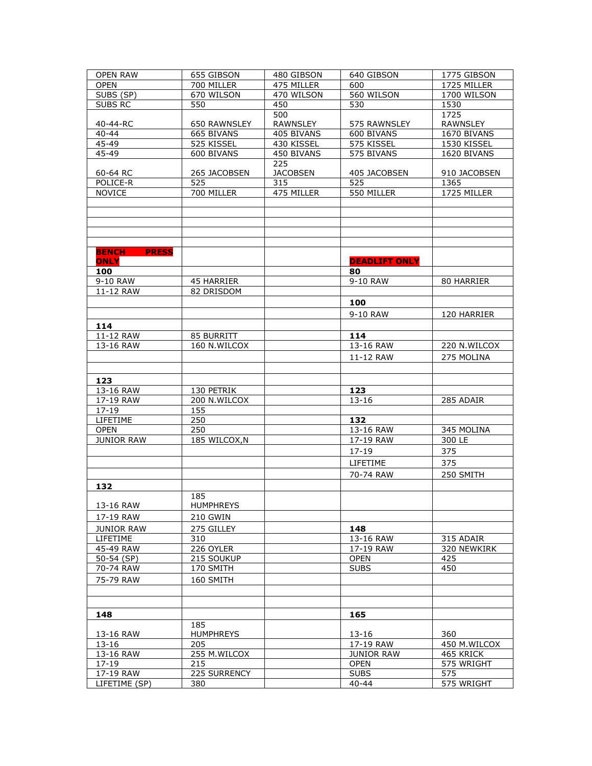| <b>OPEN RAW</b>              | 655 GIBSON       | 480 GIBSON      | 640 GIBSON           | 1775 GIBSON  |
|------------------------------|------------------|-----------------|----------------------|--------------|
| <b>OPEN</b>                  | 700 MILLER       | 475 MILLER      | 600                  | 1725 MILLER  |
| SUBS (SP)                    | 670 WILSON       | 470 WILSON      | 560 WILSON           | 1700 WILSON  |
| SUBS RC                      | 550              | 450             | 530                  | 1530         |
|                              |                  | 500             |                      | 1725         |
| 40-44-RC                     | 650 RAWNSLEY     | <b>RAWNSLEY</b> | 575 RAWNSLEY         | RAWNSLEY     |
| $40 - 44$                    | 665 BIVANS       | 405 BIVANS      | 600 BIVANS           | 1670 BIVANS  |
| 45-49                        | 525 KISSEL       | 430 KISSEL      | 575 KISSEL           | 1530 KISSEL  |
| 45-49                        | 600 BIVANS       | 450 BIVANS      | 575 BIVANS           | 1620 BIVANS  |
|                              |                  | 225             |                      |              |
| 60-64 RC                     | 265 JACOBSEN     | <b>JACOBSEN</b> | 405 JACOBSEN         | 910 JACOBSEN |
| POLICE-R                     | 525              | 315             | 525                  | 1365         |
| <b>NOVICE</b>                | 700 MILLER       | 475 MILLER      | 550 MILLER           | 1725 MILLER  |
|                              |                  |                 |                      |              |
|                              |                  |                 |                      |              |
|                              |                  |                 |                      |              |
|                              |                  |                 |                      |              |
|                              |                  |                 |                      |              |
| <b>PRESS</b><br><b>BENCH</b> |                  |                 |                      |              |
| <b>ONLY</b>                  |                  |                 | <b>DEADLIFT ONLY</b> |              |
| 100                          |                  |                 | 80                   |              |
| 9-10 RAW                     | 45 HARRIER       |                 | 9-10 RAW             | 80 HARRIER   |
| 11-12 RAW                    | 82 DRISDOM       |                 |                      |              |
|                              |                  |                 | 100                  |              |
|                              |                  |                 | 9-10 RAW             | 120 HARRIER  |
|                              |                  |                 |                      |              |
| 114                          |                  |                 |                      |              |
| 11-12 RAW                    | 85 BURRITT       |                 | 114                  |              |
| 13-16 RAW                    | 160 N.WILCOX     |                 | 13-16 RAW            | 220 N.WILCOX |
|                              |                  |                 | 11-12 RAW            | 275 MOLINA   |
|                              |                  |                 |                      |              |
| 123                          |                  |                 |                      |              |
| 13-16 RAW                    | 130 PETRIK       |                 | 123                  |              |
| 17-19 RAW                    | 200 N.WILCOX     |                 | $13 - 16$            | 285 ADAIR    |
| 17-19                        | 155              |                 |                      |              |
| LIFETIME                     | 250              |                 | 132                  |              |
| <b>OPEN</b>                  | 250              |                 | 13-16 RAW            | 345 MOLINA   |
| <b>JUNIOR RAW</b>            | 185 WILCOX, N    |                 | 17-19 RAW            | 300 LE       |
|                              |                  |                 | $17 - 19$            | 375          |
|                              |                  |                 | LIFETIME             | 375          |
|                              |                  |                 |                      |              |
|                              |                  |                 | 70-74 RAW            | 250 SMITH    |
| 132                          |                  |                 |                      |              |
|                              | 185              |                 |                      |              |
| 13-16 RAW                    | <b>HUMPHREYS</b> |                 |                      |              |
| 17-19 RAW                    | 210 GWIN         |                 |                      |              |
| <b>JUNIOR RAW</b>            | 275 GILLEY       |                 | 148                  |              |
| LIFETIME                     | 310              |                 | 13-16 RAW            | 315 ADAIR    |
| 45-49 RAW                    | 226 OYLER        |                 | 17-19 RAW            | 320 NEWKIRK  |
| 50-54 (SP)                   | 215 SOUKUP       |                 | <b>OPEN</b>          | 425          |
| 70-74 RAW                    | 170 SMITH        |                 | <b>SUBS</b>          | 450          |
| 75-79 RAW                    | 160 SMITH        |                 |                      |              |
|                              |                  |                 |                      |              |
|                              |                  |                 |                      |              |
|                              |                  |                 |                      |              |
| 148                          |                  |                 | 165                  |              |
|                              | 185              |                 |                      |              |
| 13-16 RAW                    | <b>HUMPHREYS</b> |                 | 13-16                | 360          |
| 13-16                        | 205              |                 | 17-19 RAW            | 450 M.WILCOX |
| 13-16 RAW<br>$17 - 19$       | 255 M.WILCOX     |                 | <b>JUNIOR RAW</b>    | 465 KRICK    |
|                              | 215              |                 | <b>OPEN</b>          | 575 WRIGHT   |
| 17-19 RAW                    | 225 SURRENCY     |                 | <b>SUBS</b>          | 575          |
| LIFETIME (SP)                | 380              |                 | $40 - 44$            | 575 WRIGHT   |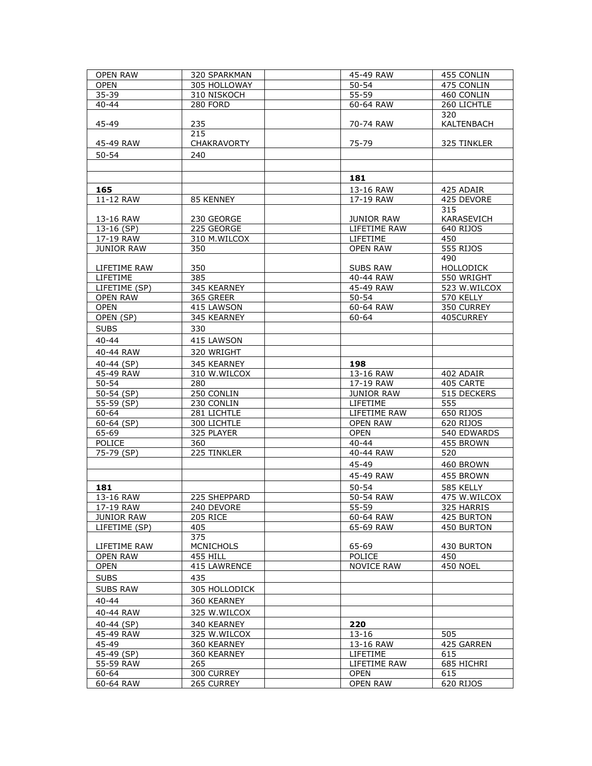| <b>OPEN RAW</b>   | 320 SPARKMAN       | 45-49 RAW         | 455 CONLIN      |
|-------------------|--------------------|-------------------|-----------------|
| <b>OPEN</b>       | 305 HOLLOWAY       | $50 - 54$         | 475 CONLIN      |
| $35 - 39$         | 310 NISKOCH        | $55 - 59$         | 460 CONLIN      |
| $40 - 44$         | <b>280 FORD</b>    | 60-64 RAW         | 260 LICHTLE     |
|                   |                    |                   | 320             |
| 45-49             | 235                | 70-74 RAW         | KALTENBACH      |
|                   | 215                |                   |                 |
| 45-49 RAW         | <b>CHAKRAVORTY</b> | 75-79             | 325 TINKLER     |
| $50 - 54$         | 240                |                   |                 |
|                   |                    |                   |                 |
|                   |                    | 181               |                 |
| 165               |                    | 13-16 RAW         | 425 ADAIR       |
| 11-12 RAW         | 85 KENNEY          | 17-19 RAW         | 425 DEVORE      |
|                   |                    |                   | 315             |
| 13-16 RAW         | 230 GEORGE         | <b>JUNIOR RAW</b> | KARASEVICH      |
| 13-16 (SP)        | 225 GEORGE         | LIFETIME RAW      | 640 RIJOS       |
| 17-19 RAW         | 310 M.WILCOX       | LIFETIME          | 450             |
| <b>JUNIOR RAW</b> | 350                | <b>OPEN RAW</b>   | 555 RIJOS       |
|                   |                    |                   | 490             |
| LIFETIME RAW      | 350                | SUBS RAW          | HOLLODICK       |
| LIFETIME          | 385                | 40-44 RAW         | 550 WRIGHT      |
| LIFETIME (SP)     | 345 KEARNEY        | 45-49 RAW         | 523 W.WILCOX    |
| <b>OPEN RAW</b>   | 365 GREER          | $50 - 54$         | 570 KELLY       |
| <b>OPEN</b>       | 415 LAWSON         | 60-64 RAW         | 350 CURREY      |
| OPEN (SP)         | 345 KEARNEY        | 60-64             | 405CURREY       |
| <b>SUBS</b>       | 330                |                   |                 |
| $40 - 44$         | 415 LAWSON         |                   |                 |
| 40-44 RAW         | 320 WRIGHT         |                   |                 |
| 40-44 (SP)        | 345 KEARNEY        | 198               |                 |
| 45-49 RAW         | 310 W.WILCOX       | 13-16 RAW         | 402 ADAIR       |
| $50 - 54$         | 280                | 17-19 RAW         | 405 CARTE       |
| 50-54 (SP)        | 250 CONLIN         | <b>JUNIOR RAW</b> | 515 DECKERS     |
| 55-59 (SP)        | 230 CONLIN         | LIFETIME          | 555             |
| 60-64             | 281 LICHTLE        | LIFETIME RAW      | 650 RIJOS       |
| 60-64 (SP)        | 300 LICHTLE        | <b>OPEN RAW</b>   | 620 RIJOS       |
| 65-69             | 325 PLAYER         | <b>OPEN</b>       | 540 EDWARDS     |
| POLICE            | 360                | 40-44             | 455 BROWN       |
| 75-79 (SP)        | 225 TINKLER        | 40-44 RAW         | 520             |
|                   |                    | 45-49             | 460 BROWN       |
|                   |                    | 45-49 RAW         | 455 BROWN       |
| 181               |                    | 50-54             | 585 KELLY       |
| 13-16 RAW         | 225 SHEPPARD       | 50-54 RAW         | 475 W.WILCOX    |
| 17-19 RAW         | 240 DEVORE         | 55-59             | 325 HARRIS      |
| JUNIOR RAW        | <b>205 RICE</b>    | 60-64 RAW         | 425 BURTON      |
| LIFETIME (SP)     | 405                | 65-69 RAW         | 450 BURTON      |
|                   | 375                |                   |                 |
| LIFETIME RAW      | <b>MCNICHOLS</b>   | 65-69             | 430 BURTON      |
| <b>OPEN RAW</b>   | 455 HILL           | POLICE            | 450             |
| <b>OPEN</b>       | 415 LAWRENCE       | <b>NOVICE RAW</b> | <b>450 NOEL</b> |
| <b>SUBS</b>       | 435                |                   |                 |
| <b>SUBS RAW</b>   | 305 HOLLODICK      |                   |                 |
| $40 - 44$         | 360 KEARNEY        |                   |                 |
| 40-44 RAW         | 325 W.WILCOX       |                   |                 |
| 40-44 (SP)        | 340 KEARNEY        | 220               |                 |
| 45-49 RAW         | 325 W.WILCOX       | 13-16             | 505             |
| 45-49             | 360 KEARNEY        | 13-16 RAW         | 425 GARREN      |
| 45-49 (SP)        | 360 KEARNEY        | <b>LIFETIME</b>   | 615             |
| 55-59 RAW         | 265                | LIFETIME RAW      | 685 HICHRI      |
| 60-64             | 300 CURREY         | <b>OPEN</b>       | 615             |
| 60-64 RAW         | 265 CURREY         | <b>OPEN RAW</b>   | 620 RIJOS       |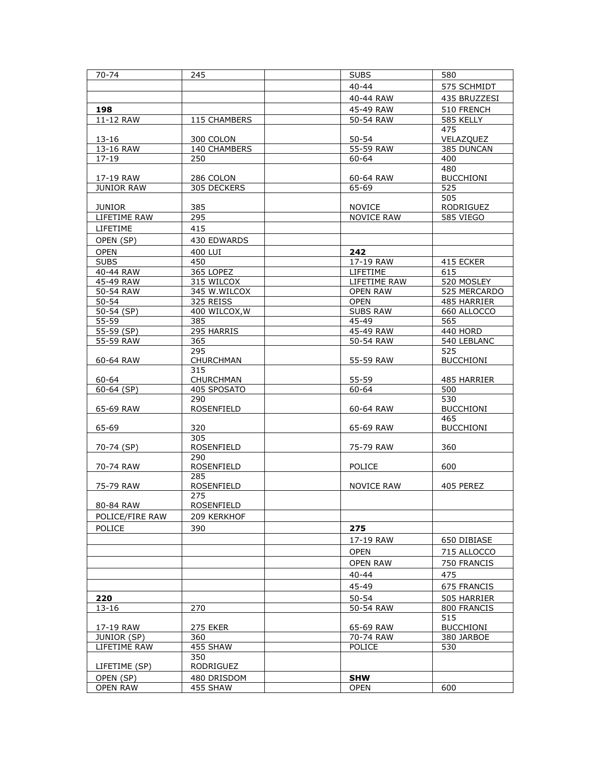| $70 - 74$          | 245               | <b>SUBS</b>             | 580                     |
|--------------------|-------------------|-------------------------|-------------------------|
|                    |                   | 40-44                   | 575 SCHMIDT             |
|                    |                   | 40-44 RAW               | 435 BRUZZESI            |
| 198                |                   | 45-49 RAW               | 510 FRENCH              |
| 11-12 RAW          | 115 CHAMBERS      | 50-54 RAW               | 585 KELLY               |
|                    |                   |                         | 475                     |
| $13 - 16$          | 300 COLON         | $50 - 54$               | VELAZQUEZ               |
| 13-16 RAW          | 140 CHAMBERS      | 55-59 RAW               | 385 DUNCAN              |
| $17 - 19$          | 250               | 60-64                   | 400                     |
|                    |                   |                         | 480                     |
| 17-19 RAW          | 286 COLON         | 60-64 RAW               | <b>BUCCHIONI</b>        |
| <b>JUNIOR RAW</b>  | 305 DECKERS       | $65 - 69$               | 525                     |
|                    |                   |                         | 505                     |
| <b>JUNIOR</b>      | 385               | <b>NOVICE</b>           | RODRIGUEZ               |
| LIFETIME RAW       | 295               | <b>NOVICE RAW</b>       | 585 VIEGO               |
| LIFETIME           | 415               |                         |                         |
| OPEN (SP)          | 430 EDWARDS       |                         |                         |
| <b>OPEN</b>        | 400 LUI           | 242                     |                         |
| <b>SUBS</b>        | 450               | 17-19 RAW               | 415 ECKER               |
| 40-44 RAW          | 365 LOPEZ         | LIFETIME                | 615                     |
| $45-49$ RAW        | 315 WILCOX        | LIFETIME RAW            | 520 MOSLEY              |
| 50-54 RAW          | 345 W.WILCOX      | <b>OPEN RAW</b>         | 525 MERCARDO            |
| $50 - 54$          | 325 REISS         | <b>OPEN</b>             | 485 HARRIER             |
| 50-54 (SP)         | 400 WILCOX, W     | <b>SUBS RAW</b>         | 660 ALLOCCO             |
| 55-59              | 385               | $45 - 49$               | 565                     |
| $55 - 59$ (SP)     | 295 HARRIS        | 45-49 RAW               | 440 HORD                |
| 55-59 RAW          | 365               | 50-54 RAW               | 540 LEBLANC             |
|                    | 295               |                         | 525                     |
| 60-64 RAW          | CHURCHMAN         | 55-59 RAW               | <b>BUCCHIONI</b>        |
|                    | 315               |                         |                         |
| 60-64              | CHURCHMAN         | 55-59                   | 485 HARRIER             |
| 60-64 (SP)         | 405 SPOSATO       | 60-64                   | 500                     |
|                    | 290               |                         | 530                     |
| 65-69 RAW          | ROSENFIELD        | 60-64 RAW               | <b>BUCCHIONI</b><br>465 |
| 65-69              | 320               | 65-69 RAW               | <b>BUCCHIONI</b>        |
|                    | 305               |                         |                         |
| 70-74 (SP)         | <b>ROSENFIELD</b> | 75-79 RAW               | 360                     |
|                    | 290               |                         |                         |
| 70-74 RAW          | <b>ROSENFIELD</b> | POLICE                  | 600                     |
|                    | 285               |                         |                         |
| 75-79 RAW          | ROSENFIELD        | <b>NOVICE RAW</b>       | 405 PEREZ               |
|                    | 275               |                         |                         |
| 80-84 RAW          | ROSENFIELD        |                         |                         |
| POLICE/FIRE RAW    | 209 KERKHOF       |                         |                         |
| <b>POLICE</b>      | 390               | 275                     |                         |
|                    |                   | 17-19 RAW               | 650 DIBIASE             |
|                    |                   | <b>OPEN</b>             | 715 ALLOCCO             |
|                    |                   | <b>OPEN RAW</b>         | 750 FRANCIS             |
|                    |                   |                         |                         |
|                    |                   | 40-44                   | 475                     |
|                    |                   | 45-49                   | 675 FRANCIS             |
| 220                |                   | $50 - 54$               | 505 HARRIER             |
| $13 - 16$          | 270               | $\overline{50}$ -54 RAW | 800 FRANCIS             |
|                    |                   |                         | 515                     |
| 17-19 RAW          | <b>275 EKER</b>   | 65-69 RAW               | <b>BUCCHIONI</b>        |
| <b>JUNIOR (SP)</b> | 360               | 70-74 RAW               | 380 JARBOE              |
| LIFETIME RAW       | 455 SHAW          | <b>POLICE</b>           | 530                     |
|                    | 350<br>RODRIGUEZ  |                         |                         |
| LIFETIME (SP)      |                   |                         |                         |
| OPEN (SP)          | 480 DRISDOM       | <b>SHW</b>              |                         |
| <b>OPEN RAW</b>    | 455 SHAW          | <b>OPEN</b>             | 600                     |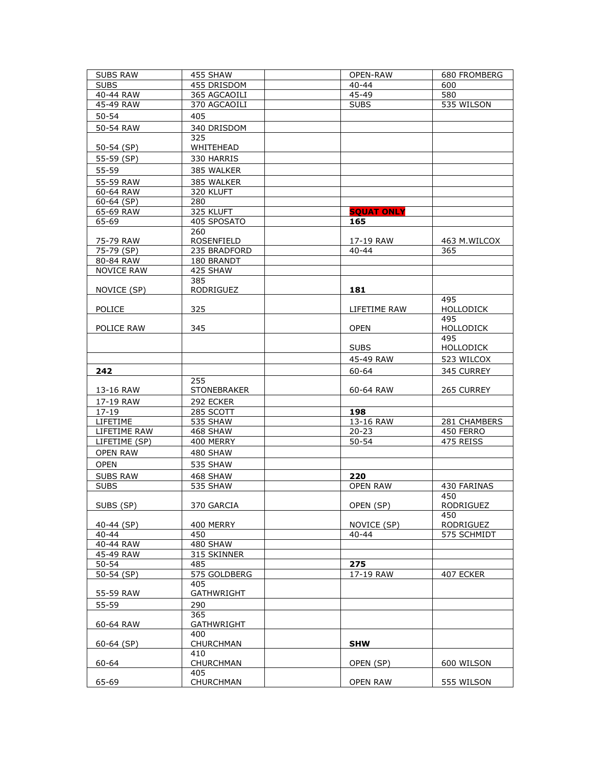| <b>SUBS RAW</b>   | 455 SHAW           | OPEN-RAW          | 680 FROMBERG            |
|-------------------|--------------------|-------------------|-------------------------|
| <b>SUBS</b>       | 455 DRISDOM        | $40 - 44$         | 600                     |
| 40-44 RAW         | 365 AGCAOILI       | 45-49             | 580                     |
| 45-49 RAW         | 370 AGCAOILI       | <b>SUBS</b>       | 535 WILSON              |
| $50 - 54$         | 405                |                   |                         |
| 50-54 RAW         | 340 DRISDOM        |                   |                         |
|                   | 325                |                   |                         |
| 50-54 (SP)        | WHITEHEAD          |                   |                         |
| 55-59 (SP)        | 330 HARRIS         |                   |                         |
| 55-59             | 385 WALKER         |                   |                         |
| 55-59 RAW         | 385 WALKER         |                   |                         |
| 60-64 RAW         | 320 KLUFT          |                   |                         |
| $60-64$ (SP)      | 280                |                   |                         |
| 65-69 RAW         | 325 KLUFT          | <b>SQUAT ONLY</b> |                         |
| 65-69             | 405 SPOSATO        | 165               |                         |
|                   | 260                |                   |                         |
| 75-79 RAW         | ROSENFIELD         | 17-19 RAW         | 463 M.WILCOX            |
| 75-79 (SP)        | 235 BRADFORD       | 40-44             | 365                     |
| 80-84 RAW         | 180 BRANDT         |                   |                         |
| <b>NOVICE RAW</b> | 425 SHAW           |                   |                         |
|                   | 385                |                   |                         |
| NOVICE (SP)       | RODRIGUEZ          | 181               |                         |
|                   |                    |                   | 495                     |
| <b>POLICE</b>     | 325                | LIFETIME RAW      | <b>HOLLODICK</b>        |
|                   |                    |                   | 495                     |
| POLICE RAW        | 345                | <b>OPEN</b>       | <b>HOLLODICK</b>        |
|                   |                    |                   | 495                     |
|                   |                    | <b>SUBS</b>       | HOLLODICK               |
|                   |                    | 45-49 RAW         | 523 WILCOX              |
| 242               |                    | 60-64             | 345 CURREY              |
|                   | 255                |                   |                         |
| 13-16 RAW         | <b>STONEBRAKER</b> | 60-64 RAW         | 265 CURREY              |
| 17-19 RAW         | 292 ECKER          |                   |                         |
| $17 - 19$         | 285 SCOTT          | 198               |                         |
| LIFETIME          | 535 SHAW           | 13-16 RAW         | 281 CHAMBERS            |
| LIFETIME RAW      | 468 SHAW           | $20 - 23$         | 450 FERRO               |
| LIFETIME (SP)     | 400 MERRY          | $50 - 54$         | 475 REISS               |
| <b>OPEN RAW</b>   | 480 SHAW           |                   |                         |
| <b>OPEN</b>       | 535 SHAW           |                   |                         |
|                   |                    |                   |                         |
| <b>SUBS RAW</b>   | 468 SHAW           | 220               |                         |
| <b>SUBS</b>       | 535 SHAW           | <b>OPEN RAW</b>   | 430 FARINAS             |
|                   |                    |                   | 450                     |
| SUBS (SP)         | 370 GARCIA         | OPEN (SP)         | RODRIGUEZ               |
| 40-44 (SP)        | 400 MERRY          | NOVICE (SP)       | 450<br><b>RODRIGUEZ</b> |
| $40 - 44$         | 450                | 40-44             | 575 SCHMIDT             |
| 40-44 RAW         | 480 SHAW           |                   |                         |
| 45-49 RAW         | 315 SKINNER        |                   |                         |
| $50 - 54$         | 485                | 275               |                         |
| 50-54 (SP)        | 575 GOLDBERG       | 17-19 RAW         | 407 ECKER               |
|                   | 405                |                   |                         |
| 55-59 RAW         | <b>GATHWRIGHT</b>  |                   |                         |
| 55-59             | 290                |                   |                         |
|                   | 365                |                   |                         |
| 60-64 RAW         | <b>GATHWRIGHT</b>  |                   |                         |
|                   | 400                |                   |                         |
| $60-64$ (SP)      | CHURCHMAN          | <b>SHW</b>        |                         |
|                   | 410                |                   |                         |
| 60-64             | CHURCHMAN          | OPEN (SP)         | 600 WILSON              |
|                   | 405                |                   |                         |
| 65-69             | CHURCHMAN          | <b>OPEN RAW</b>   | 555 WILSON              |
|                   |                    |                   |                         |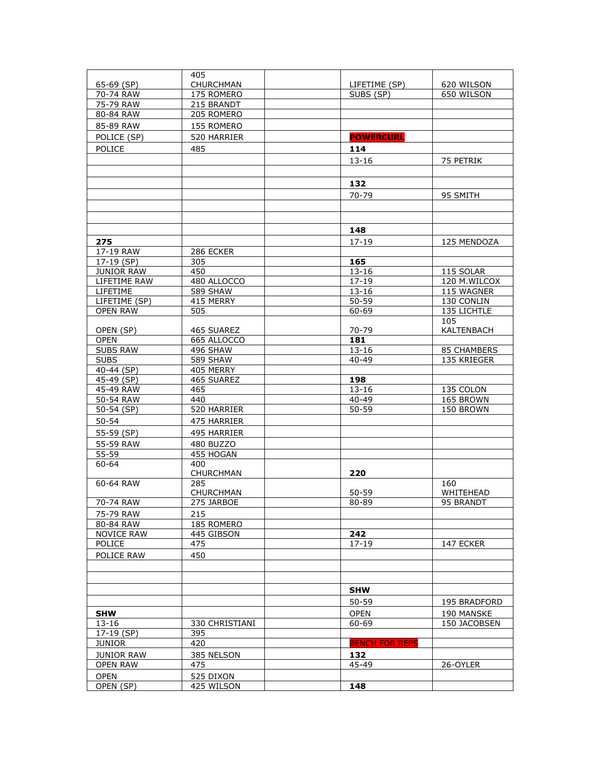|                         | 405                     |                        |                        |
|-------------------------|-------------------------|------------------------|------------------------|
| 65-69 (SP)              | <b>CHURCHMAN</b>        | LIFETIME (SP)          | 620 WILSON             |
| 70-74 RAW               | 175 ROMERO              | SUBS (SP)              | 650 WILSON             |
| 75-79 RAW               | 215 BRANDT              |                        |                        |
| 80-84 RAW               | 205 ROMERO              |                        |                        |
| 85-89 RAW               | 155 ROMERO              |                        |                        |
| POLICE (SP)             | 520 HARRIER             | <b>POWERCURL</b>       |                        |
| <b>POLICE</b>           | 485                     | 114                    |                        |
|                         |                         | $13 - 16$              | 75 PETRIK              |
|                         |                         |                        |                        |
|                         |                         |                        |                        |
|                         |                         | 132                    |                        |
|                         |                         | 70-79                  | 95 SMITH               |
|                         |                         |                        |                        |
|                         |                         |                        |                        |
|                         |                         | 148                    |                        |
| 275                     |                         | $17 - 19$              | 125 MENDOZA            |
| 17-19 RAW               | 286 ECKER               |                        |                        |
| 17-19 (SP)              | 305                     | 165                    |                        |
| <b>JUNIOR RAW</b>       | 450                     | $13 - 16$              | 115 SOLAR              |
| LIFETIME RAW            | 480 ALLOCCO             | $17 - 19$              | 120 M.WILCOX           |
| LIFETIME                | <b>589 SHAW</b>         | $13 - 16$              | 115 WAGNER             |
| LIFETIME (SP)           | 415 MERRY               | $50 - 59$              | 130 CONLIN             |
| <b>OPEN RAW</b>         | 505                     | 60-69                  | 135 LICHTLE            |
|                         |                         |                        | 105                    |
| OPEN (SP)               | 465 SUAREZ              | 70-79                  | KALTENBACH             |
| <b>OPEN</b>             | 665 ALLOCCO             | 181                    |                        |
| <b>SUBS RAW</b>         | 496 SHAW                | 13-16                  | <b>85 CHAMBERS</b>     |
| <b>SUBS</b>             | <b>589 SHAW</b>         | $40 - 49$              | 135 KRIEGER            |
| $40-44$ (SP)            | 405 MERRY               |                        |                        |
| $45-49$ (SP)            | 465 SUAREZ              | 198                    |                        |
| 45-49 RAW               | 465                     | $13 - 16$<br>$40 - 49$ | 135 COLON              |
| 50-54 RAW<br>50-54 (SP) | 440<br>520 HARRIER      | $50 - 59$              | 165 BROWN<br>150 BROWN |
|                         |                         |                        |                        |
| $50 - 54$               | 475 HARRIER             |                        |                        |
| 55-59 (SP)              | 495 HARRIER             |                        |                        |
| 55-59 RAW               | 480 BUZZO               |                        |                        |
| 55-59                   | 455 HOGAN               |                        |                        |
| $60 - 64$               | 400                     |                        |                        |
|                         | <b>CHURCHMAN</b>        | 220                    |                        |
| 60-64 RAW               | 285                     | $50 - 59$              | 160<br>WHITEHEAD       |
| 70-74 RAW               | CHURCHMAN<br>275 JARBOE | 80-89                  | 95 BRANDT              |
|                         |                         |                        |                        |
| 75-79 RAW<br>80-84 RAW  | 215<br>185 ROMERO       |                        |                        |
| <b>NOVICE RAW</b>       | 445 GIBSON              | 242                    |                        |
| POLICE                  | 475                     | $17 - 19$              | 147 ECKER              |
| POLICE RAW              | 450                     |                        |                        |
|                         |                         |                        |                        |
|                         |                         |                        |                        |
|                         |                         |                        |                        |
|                         |                         | <b>SHW</b>             |                        |
|                         |                         | 50-59                  | 195 BRADFORD           |
| <b>SHW</b>              |                         | <b>OPEN</b>            | 190 MANSKE             |
| $13 - 16$               | 330 CHRISTIANI          | 60-69                  | 150 JACOBSEN           |
| 17-19 (SP)              | 395                     |                        |                        |
| <b>JUNIOR</b>           | 420                     | <b>BENCH FOR REPS</b>  |                        |
| <b>JUNIOR RAW</b>       | 385 NELSON              | 132                    |                        |
| OPEN RAW                | 475                     | 45-49                  | 26-OYLER               |
| <b>OPEN</b>             | 525 DIXON               |                        |                        |
| OPEN (SP)               | 425 WILSON              | 148                    |                        |